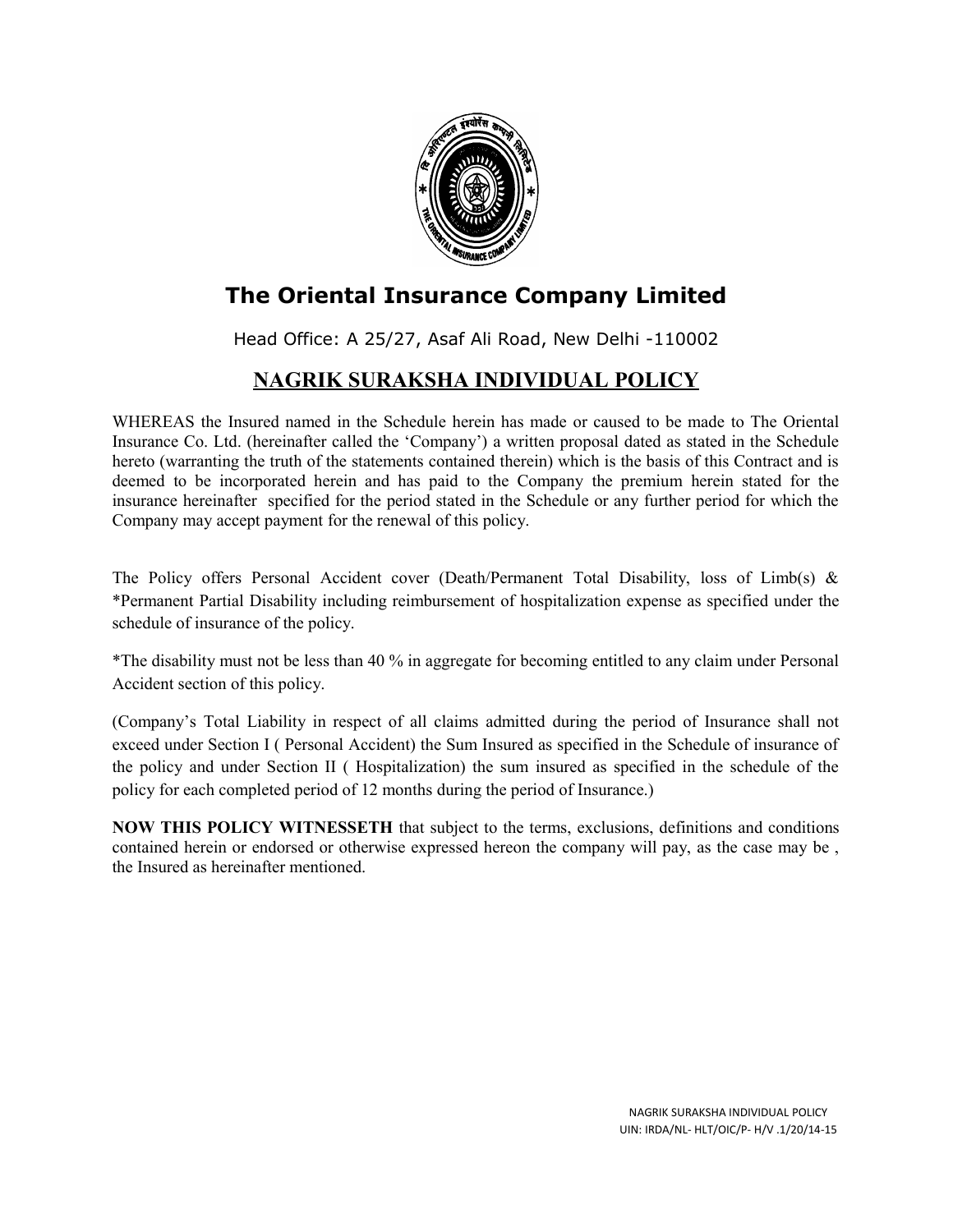

## **The Oriental Insurance Company Limited**

Head Office: A 25/27, Asaf Ali Road, New Delhi -110002

## **NAGRIK SURAKSHA INDIVIDUAL POLICY**

WHEREAS the Insured named in the Schedule herein has made or caused to be made to The Oriental Insurance Co. Ltd. (hereinafter called the 'Company') a written proposal dated as stated in the Schedule hereto (warranting the truth of the statements contained therein) which is the basis of this Contract and is deemed to be incorporated herein and has paid to the Company the premium herein stated for the insurance hereinafter specified for the period stated in the Schedule or any further period for which the Company may accept payment for the renewal of this policy.

The Policy offers Personal Accident cover (Death/Permanent Total Disability, loss of Limb(s)  $\&$ \*Permanent Partial Disability including reimbursement of hospitalization expense as specified under the schedule of insurance of the policy.

\*The disability must not be less than 40 % in aggregate for becoming entitled to any claim under Personal Accident section of this policy.

(Company's Total Liability in respect of all claims admitted during the period of Insurance shall not exceed under Section I ( Personal Accident) the Sum Insured as specified in the Schedule of insurance of the policy and under Section II ( Hospitalization) the sum insured as specified in the schedule of the policy for each completed period of 12 months during the period of Insurance.)

**NOW THIS POLICY WITNESSETH** that subject to the terms, exclusions, definitions and conditions contained herein or endorsed or otherwise expressed hereon the company will pay, as the case may be , the Insured as hereinafter mentioned.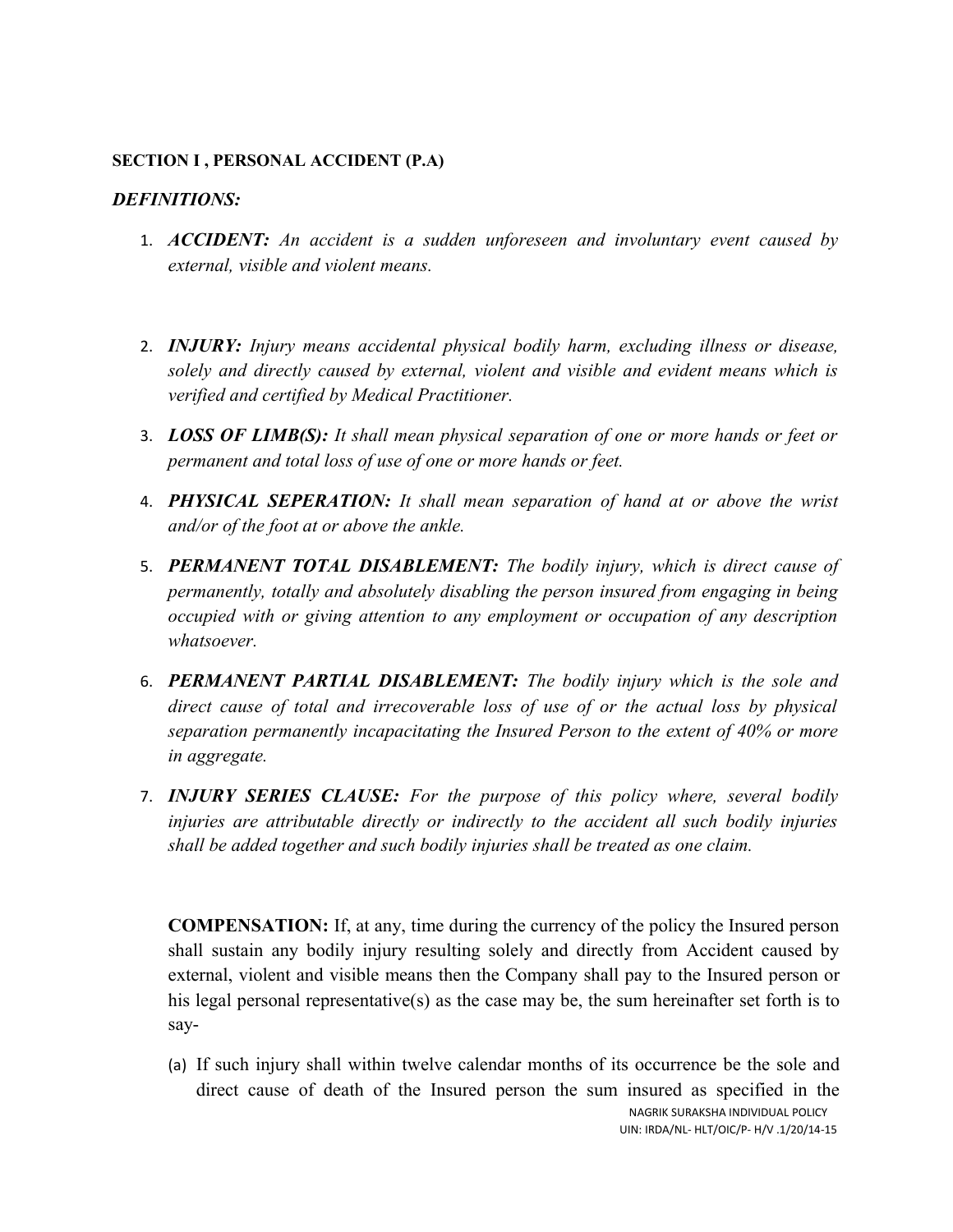### **SECTION I , PERSONAL ACCIDENT (P.A)**

### *DEFINITIONS:*

- 1. *ACCIDENT: An accident is a sudden unforeseen and involuntary event caused by external, visible and violent means.*
- 2. *INJURY: Injury means accidental physical bodily harm, excluding illness or disease, solely and directly caused by external, violent and visible and evident means which is verified and certified by Medical Practitioner.*
- 3. *LOSS OF LIMB(S): It shall mean physical separation of one or more hands or feet or permanent and total loss of use of one or more hands or feet.*
- 4. *PHYSICAL SEPERATION: It shall mean separation of hand at or above the wrist and/or of the foot at or above the ankle.*
- 5. *PERMANENT TOTAL DISABLEMENT: The bodily injury, which is direct cause of permanently, totally and absolutely disabling the person insured from engaging in being occupied with or giving attention to any employment or occupation of any description whatsoever.*
- 6. *PERMANENT PARTIAL DISABLEMENT: The bodily injury which is the sole and direct cause of total and irrecoverable loss of use of or the actual loss by physical separation permanently incapacitating the Insured Person to the extent of 40% or more in aggregate.*
- 7. *INJURY SERIES CLAUSE: For the purpose of this policy where, several bodily injuries are attributable directly or indirectly to the accident all such bodily injuries shall be added together and such bodily injuries shall be treated as one claim.*

**COMPENSATION:** If, at any, time during the currency of the policy the Insured person shall sustain any bodily injury resulting solely and directly from Accident caused by external, violent and visible means then the Company shall pay to the Insured person or his legal personal representative(s) as the case may be, the sum hereinafter set forth is to say-

(a) If such injury shall within twelve calendar months of its occurrence be the sole and direct cause of death of the Insured person the sum insured as specified in the NAGRIK SURAKSHA INDIVIDUAL POLICY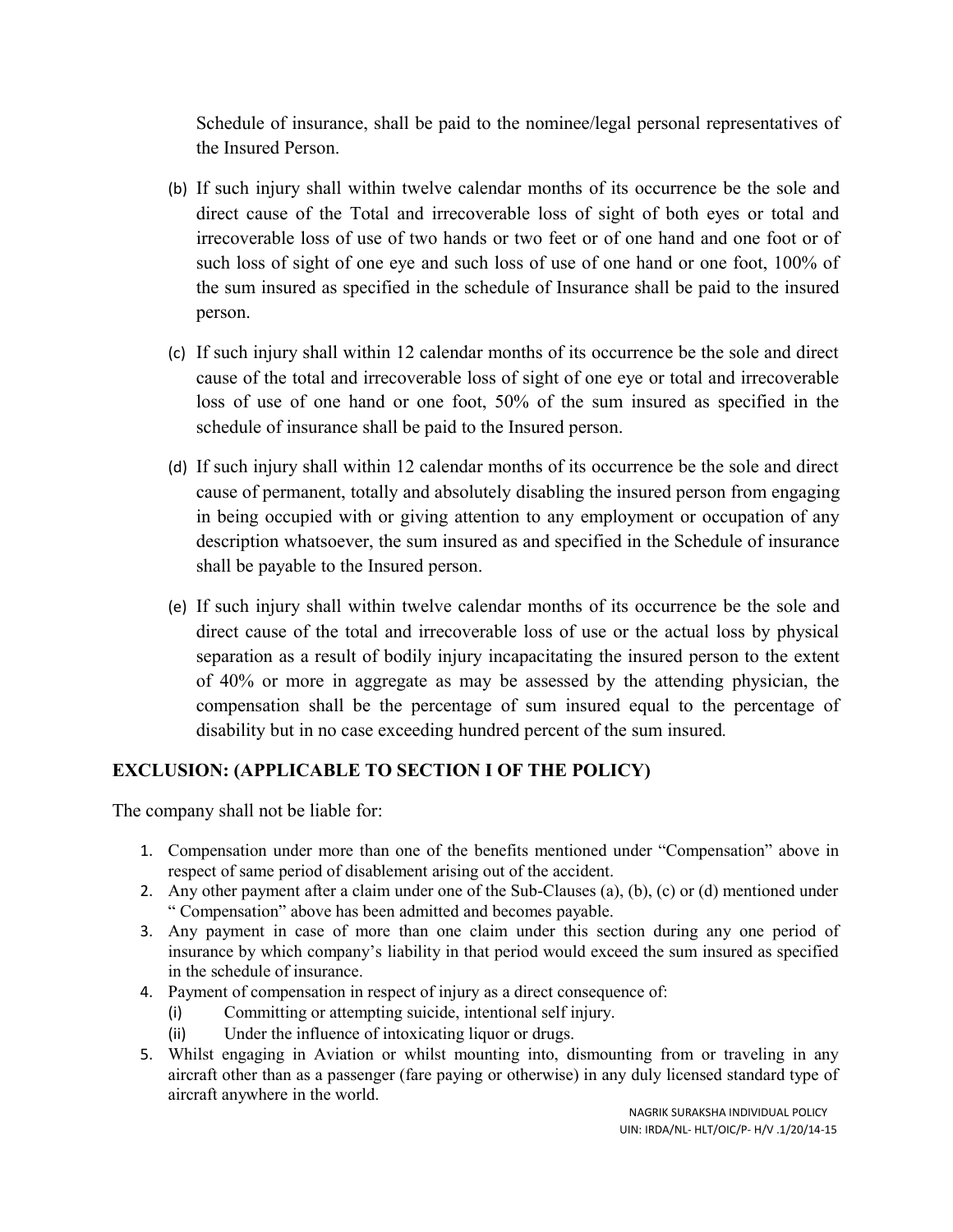Schedule of insurance, shall be paid to the nominee/legal personal representatives of the Insured Person.

- (b) If such injury shall within twelve calendar months of its occurrence be the sole and direct cause of the Total and irrecoverable loss of sight of both eyes or total and irrecoverable loss of use of two hands or two feet or of one hand and one foot or of such loss of sight of one eye and such loss of use of one hand or one foot, 100% of the sum insured as specified in the schedule of Insurance shall be paid to the insured person.
- (c) If such injury shall within 12 calendar months of its occurrence be the sole and direct cause of the total and irrecoverable loss of sight of one eye or total and irrecoverable loss of use of one hand or one foot, 50% of the sum insured as specified in the schedule of insurance shall be paid to the Insured person.
- (d) If such injury shall within 12 calendar months of its occurrence be the sole and direct cause of permanent, totally and absolutely disabling the insured person from engaging in being occupied with or giving attention to any employment or occupation of any description whatsoever, the sum insured as and specified in the Schedule of insurance shall be payable to the Insured person.
- (e) If such injury shall within twelve calendar months of its occurrence be the sole and direct cause of the total and irrecoverable loss of use or the actual loss by physical separation as a result of bodily injury incapacitating the insured person to the extent of 40% or more in aggregate as may be assessed by the attending physician, the compensation shall be the percentage of sum insured equal to the percentage of disability but in no case exceeding hundred percent of the sum insured*.*

## **EXCLUSION: (APPLICABLE TO SECTION I OF THE POLICY)**

The company shall not be liable for:

- 1. Compensation under more than one of the benefits mentioned under "Compensation" above in respect of same period of disablement arising out of the accident.
- 2. Any other payment after a claim under one of the Sub-Clauses (a), (b), (c) or (d) mentioned under " Compensation" above has been admitted and becomes payable.
- 3. Any payment in case of more than one claim under this section during any one period of insurance by which company's liability in that period would exceed the sum insured as specified in the schedule of insurance.
- 4. Payment of compensation in respect of injury as a direct consequence of:
	- (i) Committing or attempting suicide, intentional self injury.
	- (ii) Under the influence of intoxicating liquor or drugs.
- 5. Whilst engaging in Aviation or whilst mounting into, dismounting from or traveling in any aircraft other than as a passenger (fare paying or otherwise) in any duly licensed standard type of aircraft anywhere in the world.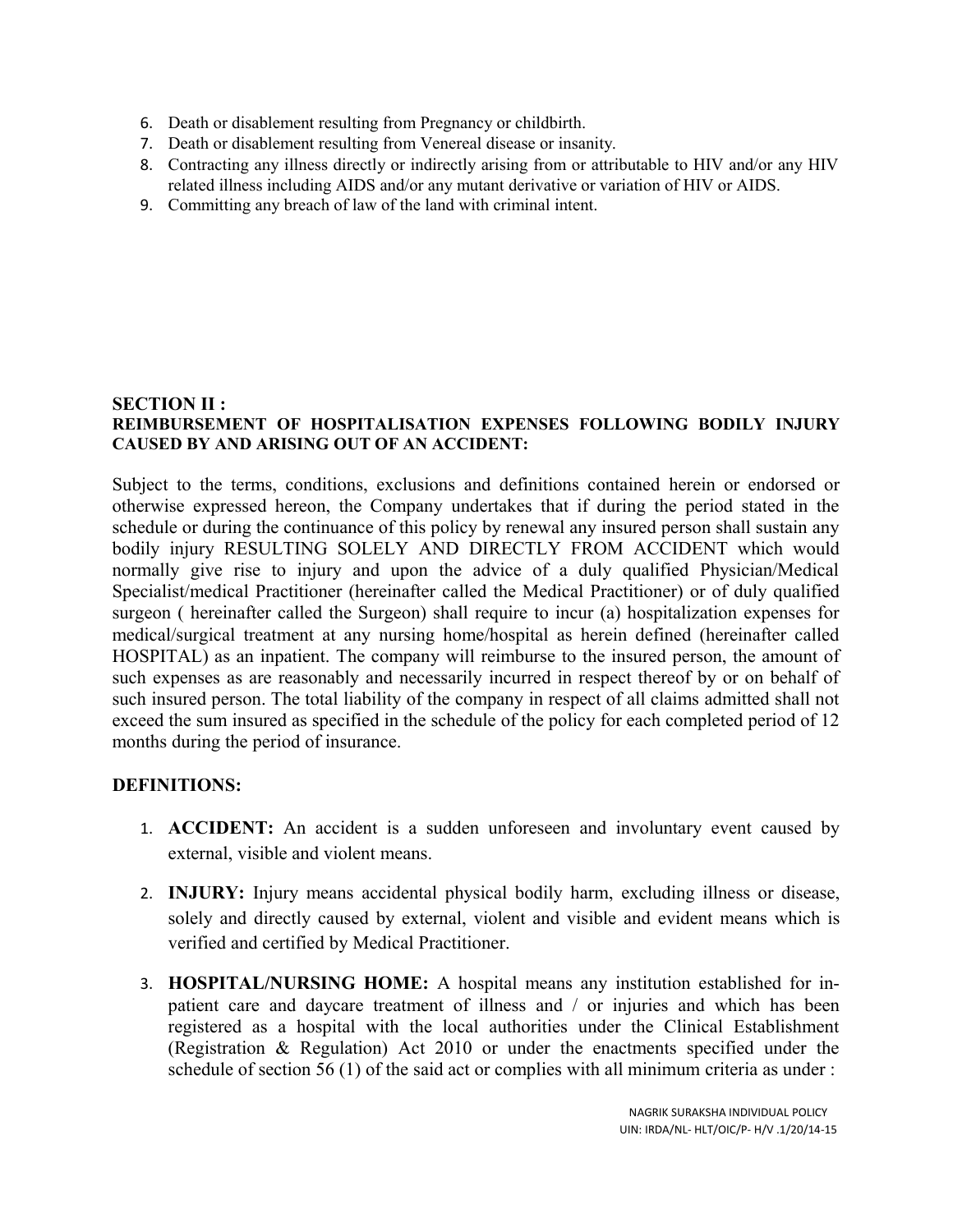- 6. Death or disablement resulting from Pregnancy or childbirth.
- 7. Death or disablement resulting from Venereal disease or insanity.
- 8. Contracting any illness directly or indirectly arising from or attributable to HIV and/or any HIV related illness including AIDS and/or any mutant derivative or variation of HIV or AIDS.
- 9. Committing any breach of law of the land with criminal intent.

#### **SECTION II : REIMBURSEMENT OF HOSPITALISATION EXPENSES FOLLOWING BODILY INJURY CAUSED BY AND ARISING OUT OF AN ACCIDENT:**

Subject to the terms, conditions, exclusions and definitions contained herein or endorsed or otherwise expressed hereon, the Company undertakes that if during the period stated in the schedule or during the continuance of this policy by renewal any insured person shall sustain any bodily injury RESULTING SOLELY AND DIRECTLY FROM ACCIDENT which would normally give rise to injury and upon the advice of a duly qualified Physician/Medical Specialist/medical Practitioner (hereinafter called the Medical Practitioner) or of duly qualified surgeon ( hereinafter called the Surgeon) shall require to incur (a) hospitalization expenses for medical/surgical treatment at any nursing home/hospital as herein defined (hereinafter called HOSPITAL) as an inpatient. The company will reimburse to the insured person, the amount of such expenses as are reasonably and necessarily incurred in respect thereof by or on behalf of such insured person. The total liability of the company in respect of all claims admitted shall not exceed the sum insured as specified in the schedule of the policy for each completed period of 12 months during the period of insurance.

### **DEFINITIONS:**

- 1. **ACCIDENT:** An accident is a sudden unforeseen and involuntary event caused by external, visible and violent means.
- 2. **INJURY:** Injury means accidental physical bodily harm, excluding illness or disease, solely and directly caused by external, violent and visible and evident means which is verified and certified by Medical Practitioner.
- 3. **HOSPITAL/NURSING HOME:** A hospital means any institution established for inpatient care and daycare treatment of illness and / or injuries and which has been registered as a hospital with the local authorities under the Clinical Establishment (Registration & Regulation) Act 2010 or under the enactments specified under the schedule of section 56 (1) of the said act or complies with all minimum criteria as under :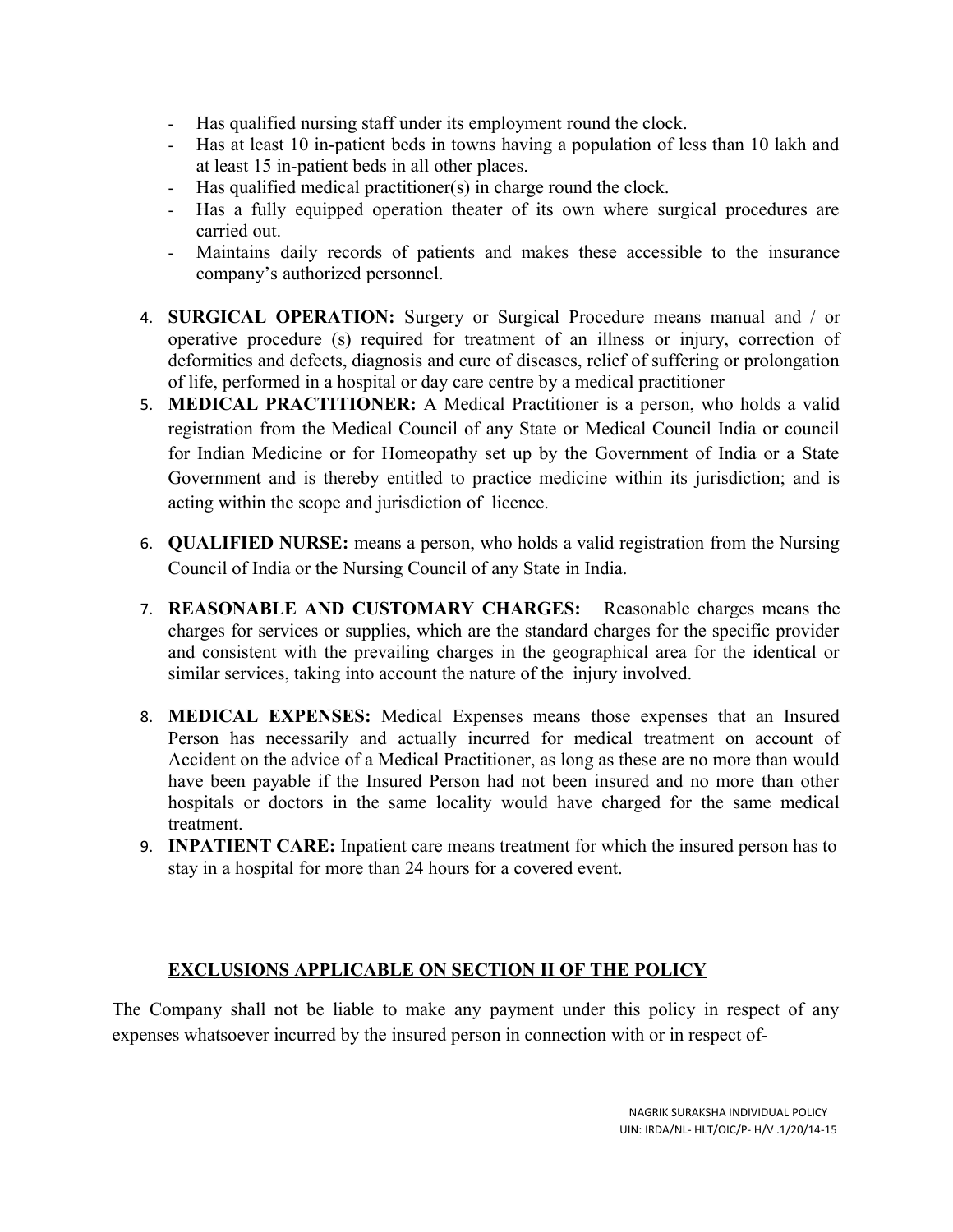- Has qualified nursing staff under its employment round the clock.
- Has at least 10 in-patient beds in towns having a population of less than 10 lakh and at least 15 in-patient beds in all other places.
- Has qualified medical practitioner(s) in charge round the clock.
- Has a fully equipped operation theater of its own where surgical procedures are carried out.
- Maintains daily records of patients and makes these accessible to the insurance company's authorized personnel.
- 4. **SURGICAL OPERATION:** Surgery or Surgical Procedure means manual and / or operative procedure (s) required for treatment of an illness or injury, correction of deformities and defects, diagnosis and cure of diseases, relief of suffering or prolongation of life, performed in a hospital or day care centre by a medical practitioner
- 5. **MEDICAL PRACTITIONER:** A Medical Practitioner is a person, who holds a valid registration from the Medical Council of any State or Medical Council India or council for Indian Medicine or for Homeopathy set up by the Government of India or a State Government and is thereby entitled to practice medicine within its jurisdiction; and is acting within the scope and jurisdiction of licence.
- 6. **QUALIFIED NURSE:** means a person, who holds a valid registration from the Nursing Council of India or the Nursing Council of any State in India.
- 7. **REASONABLE AND CUSTOMARY CHARGES:** Reasonable charges means the charges for services or supplies, which are the standard charges for the specific provider and consistent with the prevailing charges in the geographical area for the identical or similar services, taking into account the nature of the injury involved.
- 8. **MEDICAL EXPENSES:** Medical Expenses means those expenses that an Insured Person has necessarily and actually incurred for medical treatment on account of Accident on the advice of a Medical Practitioner, as long as these are no more than would have been payable if the Insured Person had not been insured and no more than other hospitals or doctors in the same locality would have charged for the same medical treatment.
- 9. **INPATIENT CARE:** Inpatient care means treatment for which the insured person has to stay in a hospital for more than 24 hours for a covered event.

## **EXCLUSIONS APPLICABLE ON SECTION II OF THE POLICY**

The Company shall not be liable to make any payment under this policy in respect of any expenses whatsoever incurred by the insured person in connection with or in respect of-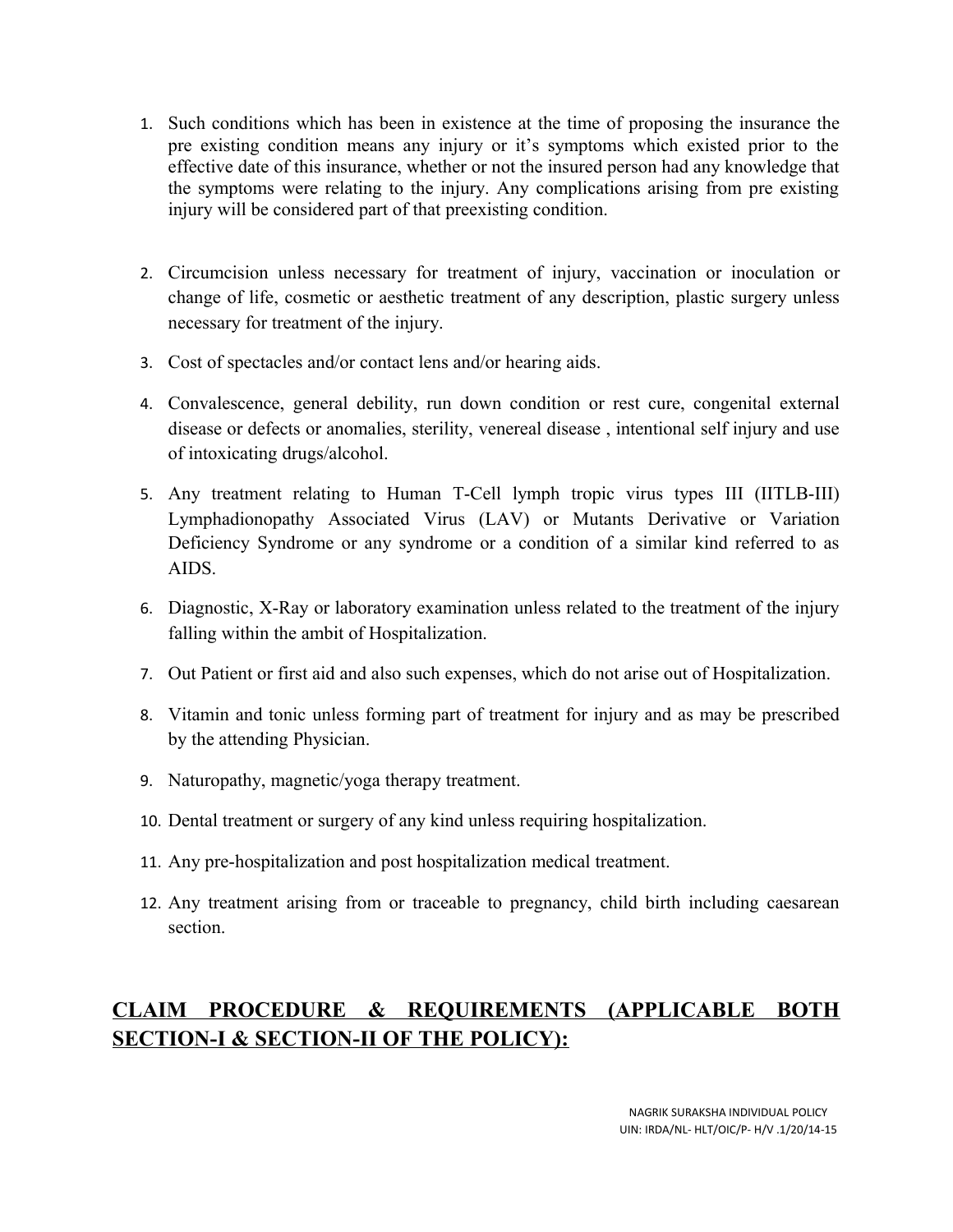- 1. Such conditions which has been in existence at the time of proposing the insurance the pre existing condition means any injury or it's symptoms which existed prior to the effective date of this insurance, whether or not the insured person had any knowledge that the symptoms were relating to the injury. Any complications arising from pre existing injury will be considered part of that preexisting condition.
- 2. Circumcision unless necessary for treatment of injury, vaccination or inoculation or change of life, cosmetic or aesthetic treatment of any description, plastic surgery unless necessary for treatment of the injury.
- 3. Cost of spectacles and/or contact lens and/or hearing aids.
- 4. Convalescence, general debility, run down condition or rest cure, congenital external disease or defects or anomalies, sterility, venereal disease , intentional self injury and use of intoxicating drugs/alcohol.
- 5. Any treatment relating to Human T-Cell lymph tropic virus types III (IITLB-III) Lymphadionopathy Associated Virus (LAV) or Mutants Derivative or Variation Deficiency Syndrome or any syndrome or a condition of a similar kind referred to as AIDS.
- 6. Diagnostic, X-Ray or laboratory examination unless related to the treatment of the injury falling within the ambit of Hospitalization.
- 7. Out Patient or first aid and also such expenses, which do not arise out of Hospitalization.
- 8. Vitamin and tonic unless forming part of treatment for injury and as may be prescribed by the attending Physician.
- 9. Naturopathy, magnetic/yoga therapy treatment.
- 10. Dental treatment or surgery of any kind unless requiring hospitalization.
- 11. Any pre-hospitalization and post hospitalization medical treatment.
- 12. Any treatment arising from or traceable to pregnancy, child birth including caesarean section.

## **CLAIM PROCEDURE & REQUIREMENTS (APPLICABLE BOTH SECTION-I & SECTION-II OF THE POLICY):**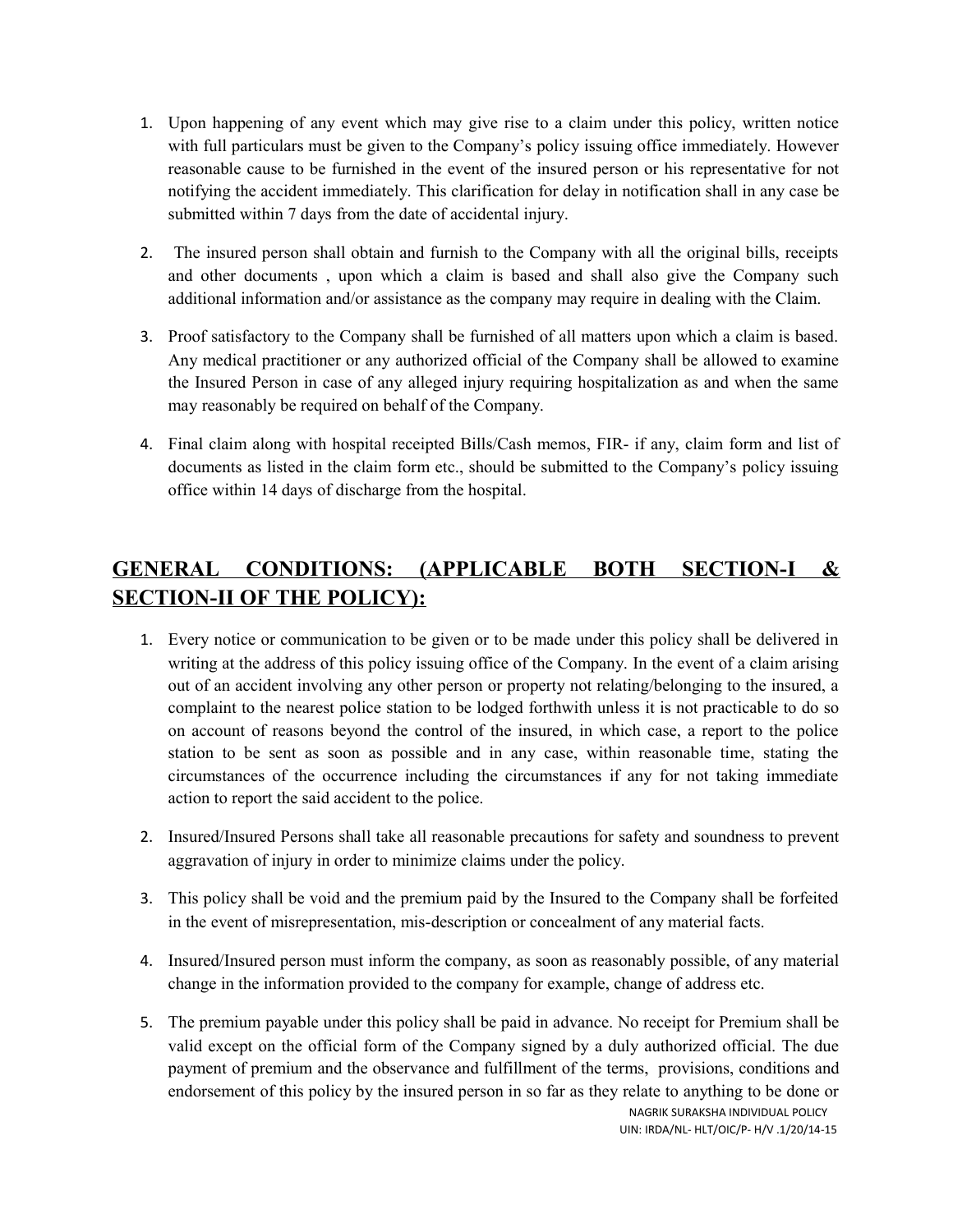- 1. Upon happening of any event which may give rise to a claim under this policy, written notice with full particulars must be given to the Company's policy issuing office immediately. However reasonable cause to be furnished in the event of the insured person or his representative for not notifying the accident immediately. This clarification for delay in notification shall in any case be submitted within 7 days from the date of accidental injury.
- 2. The insured person shall obtain and furnish to the Company with all the original bills, receipts and other documents , upon which a claim is based and shall also give the Company such additional information and/or assistance as the company may require in dealing with the Claim.
- 3. Proof satisfactory to the Company shall be furnished of all matters upon which a claim is based. Any medical practitioner or any authorized official of the Company shall be allowed to examine the Insured Person in case of any alleged injury requiring hospitalization as and when the same may reasonably be required on behalf of the Company.
- 4. Final claim along with hospital receipted Bills/Cash memos, FIR- if any, claim form and list of documents as listed in the claim form etc., should be submitted to the Company's policy issuing office within 14 days of discharge from the hospital.

## **GENERAL CONDITIONS: (APPLICABLE BOTH SECTION-I & SECTION-II OF THE POLICY):**

- 1. Every notice or communication to be given or to be made under this policy shall be delivered in writing at the address of this policy issuing office of the Company. In the event of a claim arising out of an accident involving any other person or property not relating/belonging to the insured, a complaint to the nearest police station to be lodged forthwith unless it is not practicable to do so on account of reasons beyond the control of the insured, in which case, a report to the police station to be sent as soon as possible and in any case, within reasonable time, stating the circumstances of the occurrence including the circumstances if any for not taking immediate action to report the said accident to the police.
- 2. Insured/Insured Persons shall take all reasonable precautions for safety and soundness to prevent aggravation of injury in order to minimize claims under the policy.
- 3. This policy shall be void and the premium paid by the Insured to the Company shall be forfeited in the event of misrepresentation, mis-description or concealment of any material facts.
- 4. Insured/Insured person must inform the company, as soon as reasonably possible, of any material change in the information provided to the company for example, change of address etc.
- 5. The premium payable under this policy shall be paid in advance. No receipt for Premium shall be valid except on the official form of the Company signed by a duly authorized official. The due payment of premium and the observance and fulfillment of the terms, provisions, conditions and endorsement of this policy by the insured person in so far as they relate to anything to be done or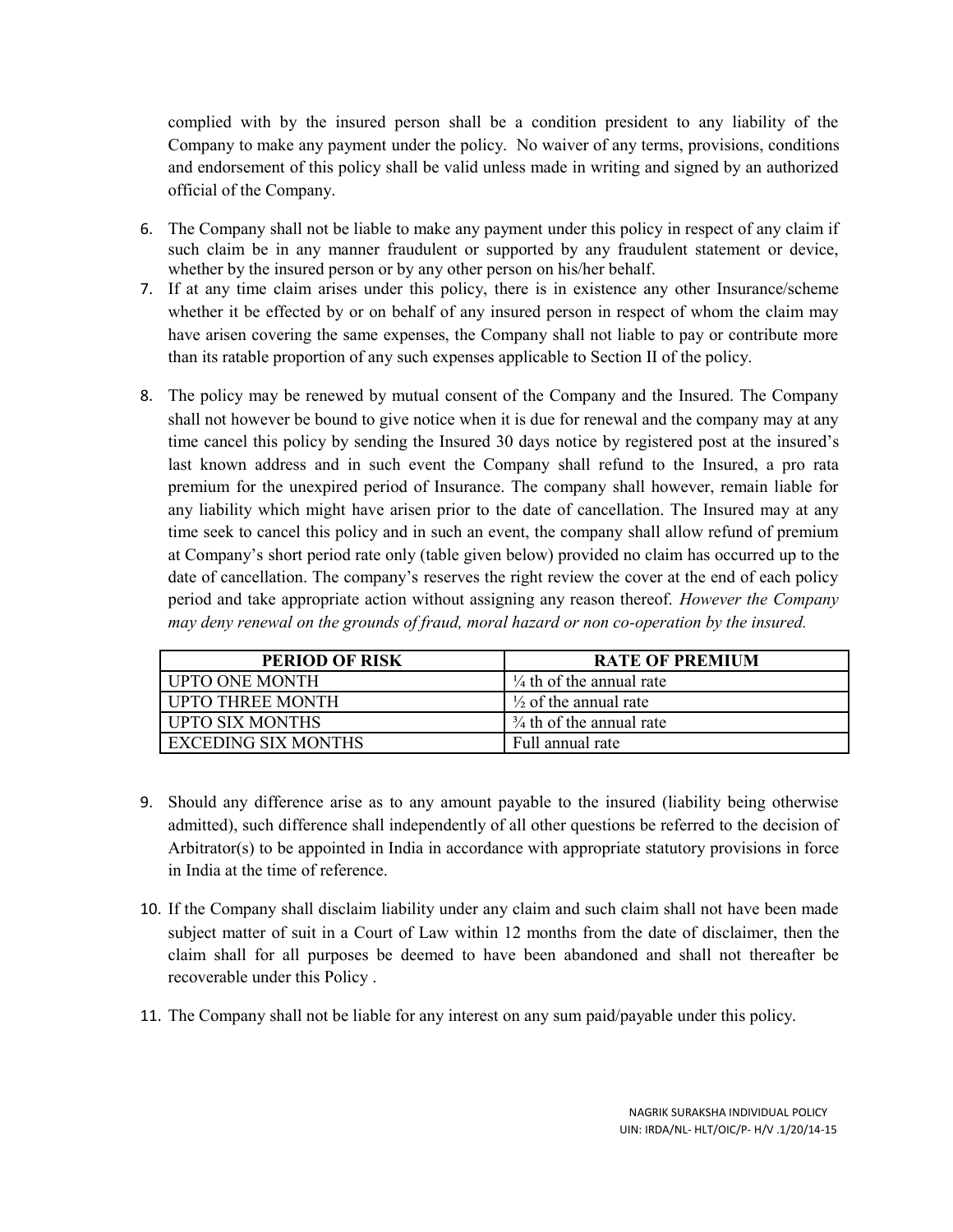complied with by the insured person shall be a condition president to any liability of the Company to make any payment under the policy. No waiver of any terms, provisions, conditions and endorsement of this policy shall be valid unless made in writing and signed by an authorized official of the Company.

- 6. The Company shall not be liable to make any payment under this policy in respect of any claim if such claim be in any manner fraudulent or supported by any fraudulent statement or device, whether by the insured person or by any other person on his/her behalf.
- 7. If at any time claim arises under this policy, there is in existence any other Insurance/scheme whether it be effected by or on behalf of any insured person in respect of whom the claim may have arisen covering the same expenses, the Company shall not liable to pay or contribute more than its ratable proportion of any such expenses applicable to Section II of the policy.
- 8. The policy may be renewed by mutual consent of the Company and the Insured. The Company shall not however be bound to give notice when it is due for renewal and the company may at any time cancel this policy by sending the Insured 30 days notice by registered post at the insured's last known address and in such event the Company shall refund to the Insured, a pro rata premium for the unexpired period of Insurance. The company shall however, remain liable for any liability which might have arisen prior to the date of cancellation. The Insured may at any time seek to cancel this policy and in such an event, the company shall allow refund of premium at Company's short period rate only (table given below) provided no claim has occurred up to the date of cancellation. The company's reserves the right review the cover at the end of each policy period and take appropriate action without assigning any reason thereof. *However the Company may deny renewal on the grounds of fraud, moral hazard or non co-operation by the insured.*

| PERIOD OF RISK          | <b>RATE OF PREMIUM</b>              |
|-------------------------|-------------------------------------|
| <b>UPTO ONE MONTH</b>   | $\frac{1}{4}$ th of the annual rate |
| <b>UPTO THREE MONTH</b> | $\frac{1}{2}$ of the annual rate    |
| <b>UPTO SIX MONTHS</b>  | $\frac{3}{4}$ th of the annual rate |
| EXCEDING SIX MONTHS     | Full annual rate                    |

- 9. Should any difference arise as to any amount payable to the insured (liability being otherwise admitted), such difference shall independently of all other questions be referred to the decision of Arbitrator(s) to be appointed in India in accordance with appropriate statutory provisions in force in India at the time of reference.
- 10. If the Company shall disclaim liability under any claim and such claim shall not have been made subject matter of suit in a Court of Law within 12 months from the date of disclaimer, then the claim shall for all purposes be deemed to have been abandoned and shall not thereafter be recoverable under this Policy .
- 11. The Company shall not be liable for any interest on any sum paid/payable under this policy.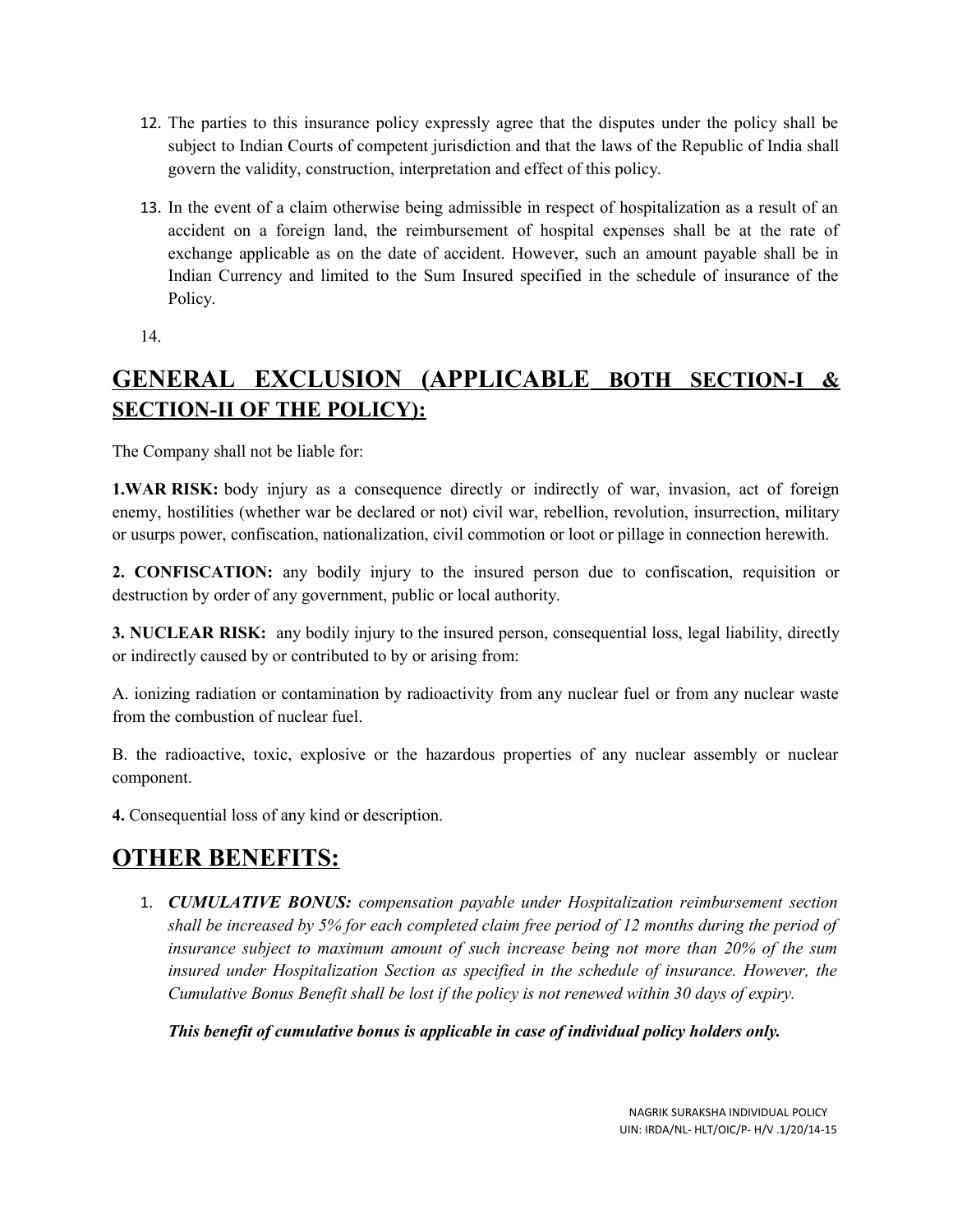- 12. The parties to this insurance policy expressly agree that the disputes under the policy shall be subject to Indian Courts of competent jurisdiction and that the laws of the Republic of India shall govern the validity, construction, interpretation and effect of this policy.
- 13. In the event of a claim otherwise being admissible in respect of hospitalization as a result of an accident on a foreign land, the reimbursement of hospital expenses shall be at the rate of exchange applicable as on the date of accident. However, such an amount payable shall be in Indian Currency and limited to the Sum Insured specified in the schedule of insurance of the Policy.
- 14.

# **GENERAL EXCLUSION (APPLICABLE BOTH SECTION-I & SECTION-II OF THE POLICY):**

The Company shall not be liable for:

**1.WAR RISK:** body injury as a consequence directly or indirectly of war, invasion, act of foreign enemy, hostilities (whether war be declared or not) civil war, rebellion, revolution, insurrection, military or usurps power, confiscation, nationalization, civil commotion or loot or pillage in connection herewith.

**2. CONFISCATION:** any bodily injury to the insured person due to confiscation, requisition or destruction by order of any government, public or local authority.

**3. NUCLEAR RISK:** any bodily injury to the insured person, consequential loss, legal liability, directly or indirectly caused by or contributed to by or arising from:

A. ionizing radiation or contamination by radioactivity from any nuclear fuel or from any nuclear waste from the combustion of nuclear fuel.

B. the radioactive, toxic, explosive or the hazardous properties of any nuclear assembly or nuclear component.

**4.** Consequential loss of any kind or description.

# **OTHER BENEFITS:**

1. *CUMULATIVE BONUS: compensation payable under Hospitalization reimbursement section shall be increased by 5% for each completed claim free period of 12 months during the period of insurance subject to maximum amount of such increase being not more than 20% of the sum insured under Hospitalization Section as specified in the schedule of insurance. However, the Cumulative Bonus Benefit shall be lost if the policy is not renewed within 30 days of expiry.*

*This benefit of cumulative bonus is applicable in case of individual policy holders only.*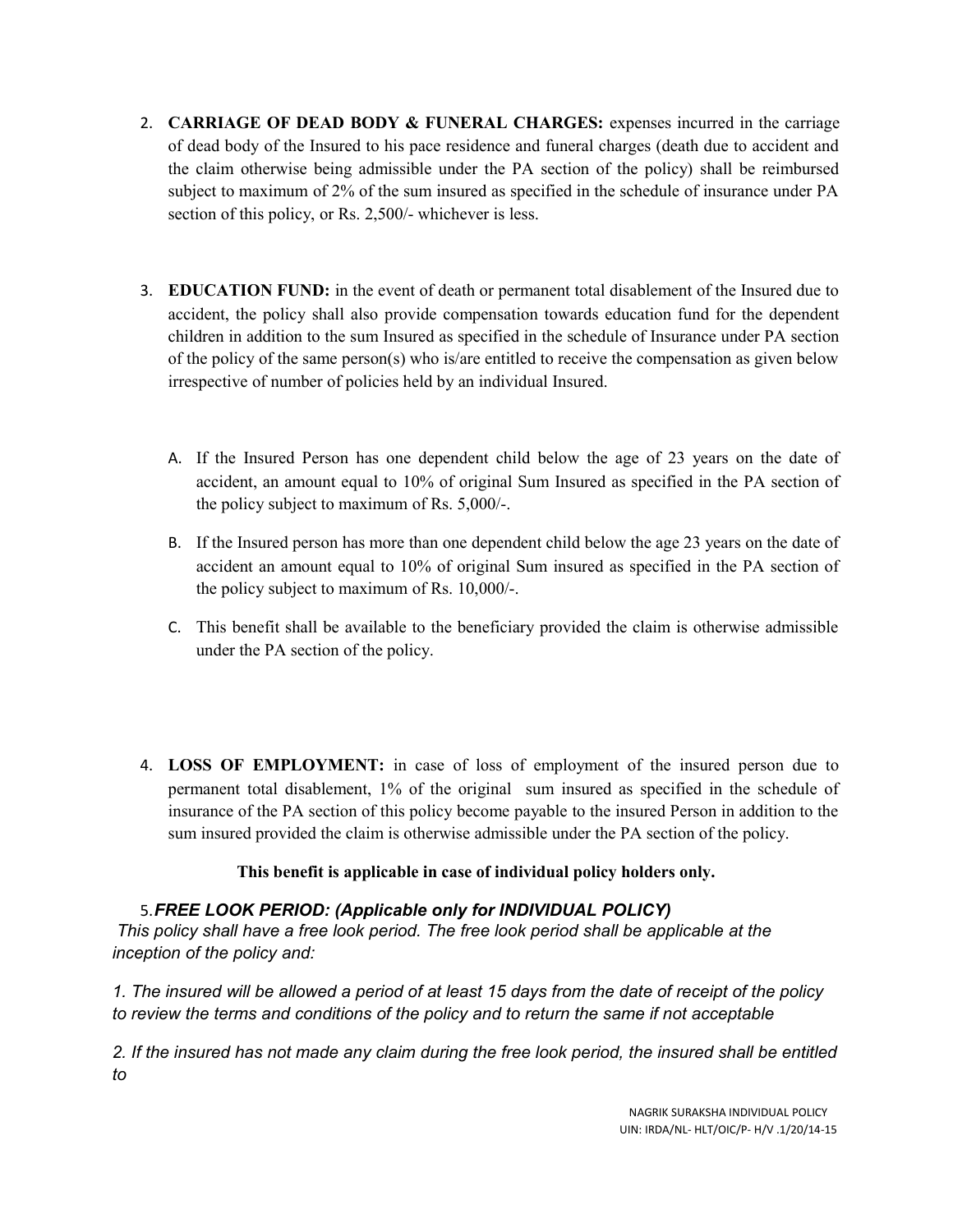- 2. **CARRIAGE OF DEAD BODY & FUNERAL CHARGES:** expenses incurred in the carriage of dead body of the Insured to his pace residence and funeral charges (death due to accident and the claim otherwise being admissible under the PA section of the policy) shall be reimbursed subject to maximum of 2% of the sum insured as specified in the schedule of insurance under PA section of this policy, or Rs. 2,500/- whichever is less.
- 3. **EDUCATION FUND:** in the event of death or permanent total disablement of the Insured due to accident, the policy shall also provide compensation towards education fund for the dependent children in addition to the sum Insured as specified in the schedule of Insurance under PA section of the policy of the same person(s) who is/are entitled to receive the compensation as given below irrespective of number of policies held by an individual Insured.
	- A. If the Insured Person has one dependent child below the age of 23 years on the date of accident, an amount equal to 10% of original Sum Insured as specified in the PA section of the policy subject to maximum of Rs. 5,000/-.
	- B. If the Insured person has more than one dependent child below the age 23 years on the date of accident an amount equal to 10% of original Sum insured as specified in the PA section of the policy subject to maximum of Rs. 10,000/-.
	- C. This benefit shall be available to the beneficiary provided the claim is otherwise admissible under the PA section of the policy.
- 4. **LOSS OF EMPLOYMENT:** in case of loss of employment of the insured person due to permanent total disablement, 1% of the original sum insured as specified in the schedule of insurance of the PA section of this policy become payable to the insured Person in addition to the sum insured provided the claim is otherwise admissible under the PA section of the policy.

### **This benefit is applicable in case of individual policy holders only.**

### 5.*FREE LOOK PERIOD: (Applicable only for INDIVIDUAL POLICY)*

 *This policy shall have a free look period. The free look period shall be applicable at the inception of the policy and:*

*1. The insured will be allowed a period of at least 15 days from the date of receipt of the policy to review the terms and conditions of the policy and to return the same if not acceptable*

*2. If the insured has not made any claim during the free look period, the insured shall be entitled to*